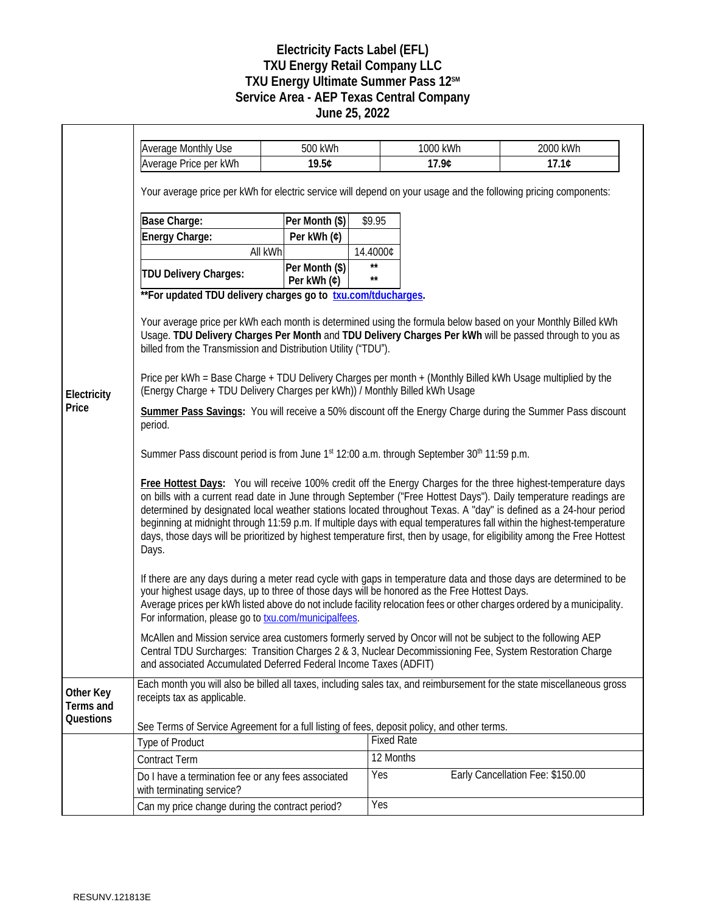## **Electricity Facts Label (EFL) TXU Energy Retail Company LLC** TXU Energy Ultimate Summer Pass 12<sup>SM</sup> **Service Area - AEP Texas Central Company June 25, 2022**

|                        | <b>Average Monthly Use</b>                                                                                                                                                                                                                                                                                                                                                                                                                                                                                                                                                                                           | 500 kWh                       |              | 1000 kWh          | 2000 kWh                         |  |
|------------------------|----------------------------------------------------------------------------------------------------------------------------------------------------------------------------------------------------------------------------------------------------------------------------------------------------------------------------------------------------------------------------------------------------------------------------------------------------------------------------------------------------------------------------------------------------------------------------------------------------------------------|-------------------------------|--------------|-------------------|----------------------------------|--|
|                        | Average Price per kWh                                                                                                                                                                                                                                                                                                                                                                                                                                                                                                                                                                                                | 19.5¢                         |              | 17.9¢             | 17.1C                            |  |
|                        | Your average price per kWh for electric service will depend on your usage and the following pricing components:                                                                                                                                                                                                                                                                                                                                                                                                                                                                                                      |                               |              |                   |                                  |  |
|                        | Base Charge:                                                                                                                                                                                                                                                                                                                                                                                                                                                                                                                                                                                                         | Per Month (\$)                | \$9.95       |                   |                                  |  |
|                        | Energy Charge:                                                                                                                                                                                                                                                                                                                                                                                                                                                                                                                                                                                                       | Per kWh (¢)                   |              |                   |                                  |  |
|                        | All kWh                                                                                                                                                                                                                                                                                                                                                                                                                                                                                                                                                                                                              |                               | 14.4000¢     |                   |                                  |  |
|                        | <b>TDU Delivery Charges:</b>                                                                                                                                                                                                                                                                                                                                                                                                                                                                                                                                                                                         | Per Month (\$)<br>Per kWh (¢) | $\star\star$ |                   |                                  |  |
|                        | ** For updated TDU delivery charges go to txu.com/tducharges.                                                                                                                                                                                                                                                                                                                                                                                                                                                                                                                                                        |                               |              |                   |                                  |  |
|                        | Your average price per kWh each month is determined using the formula below based on your Monthly Billed kWh<br>Usage. TDU Delivery Charges Per Month and TDU Delivery Charges Per kWh will be passed through to you as<br>billed from the Transmission and Distribution Utility ("TDU").<br>Price per kWh = Base Charge + TDU Delivery Charges per month + (Monthly Billed kWh Usage multiplied by the<br>(Energy Charge + TDU Delivery Charges per kWh)) / Monthly Billed kWh Usage                                                                                                                                |                               |              |                   |                                  |  |
| Electricity            |                                                                                                                                                                                                                                                                                                                                                                                                                                                                                                                                                                                                                      |                               |              |                   |                                  |  |
| Price                  | Summer Pass Savings: You will receive a 50% discount off the Energy Charge during the Summer Pass discount<br>period.                                                                                                                                                                                                                                                                                                                                                                                                                                                                                                |                               |              |                   |                                  |  |
|                        | Summer Pass discount period is from June 1 <sup>st</sup> 12:00 a.m. through September 30 <sup>th</sup> 11:59 p.m.                                                                                                                                                                                                                                                                                                                                                                                                                                                                                                    |                               |              |                   |                                  |  |
|                        | Free Hottest Days: You will receive 100% credit off the Energy Charges for the three highest-temperature days<br>on bills with a current read date in June through September ("Free Hottest Days"). Daily temperature readings are<br>determined by designated local weather stations located throughout Texas. A "day" is defined as a 24-hour period<br>beginning at midnight through 11:59 p.m. If multiple days with equal temperatures fall within the highest-temperature<br>days, those days will be prioritized by highest temperature first, then by usage, for eligibility among the Free Hottest<br>Days. |                               |              |                   |                                  |  |
|                        | If there are any days during a meter read cycle with gaps in temperature data and those days are determined to be<br>your highest usage days, up to three of those days will be honored as the Free Hottest Days.<br>Average prices per kWh listed above do not include facility relocation fees or other charges ordered by a municipality.<br>For information, please go to txu.com/municipalfees.                                                                                                                                                                                                                 |                               |              |                   |                                  |  |
|                        | McAllen and Mission service area customers formerly served by Oncor will not be subject to the following AEP<br>Central TDU Surcharges: Transition Charges 2 & 3, Nuclear Decommissioning Fee, System Restoration Charge<br>and associated Accumulated Deferred Federal Income Taxes (ADFIT)                                                                                                                                                                                                                                                                                                                         |                               |              |                   |                                  |  |
| Other Key<br>Terms and | Each month you will also be billed all taxes, including sales tax, and reimbursement for the state miscellaneous gross<br>receipts tax as applicable.                                                                                                                                                                                                                                                                                                                                                                                                                                                                |                               |              |                   |                                  |  |
| Questions              | See Terms of Service Agreement for a full listing of fees, deposit policy, and other terms.                                                                                                                                                                                                                                                                                                                                                                                                                                                                                                                          |                               |              |                   |                                  |  |
|                        | <b>Type of Product</b>                                                                                                                                                                                                                                                                                                                                                                                                                                                                                                                                                                                               |                               |              | <b>Fixed Rate</b> |                                  |  |
|                        | <b>Contract Term</b>                                                                                                                                                                                                                                                                                                                                                                                                                                                                                                                                                                                                 |                               |              | 12 Months         |                                  |  |
|                        | Do I have a termination fee or any fees associated<br>with terminating service?                                                                                                                                                                                                                                                                                                                                                                                                                                                                                                                                      |                               | Yes          |                   | Early Cancellation Fee: \$150.00 |  |
|                        | Can my price change during the contract period?                                                                                                                                                                                                                                                                                                                                                                                                                                                                                                                                                                      |                               | Yes          |                   |                                  |  |